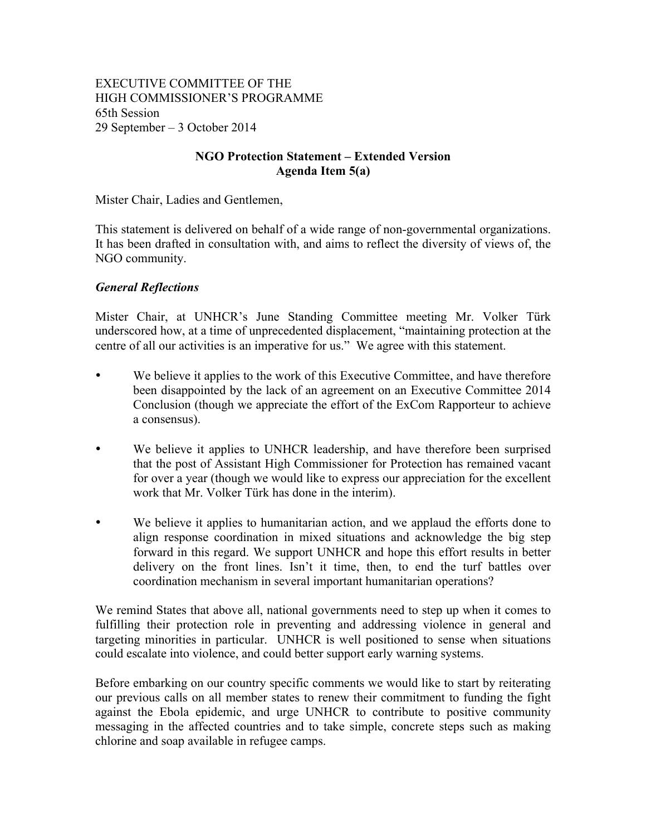EXECUTIVE COMMITTEE OF THE HIGH COMMISSIONER'S PROGRAMME 65th Session 29 September – 3 October 2014

### **NGO Protection Statement – Extended Version Agenda Item 5(a)**

Mister Chair, Ladies and Gentlemen,

This statement is delivered on behalf of a wide range of non-governmental organizations. It has been drafted in consultation with, and aims to reflect the diversity of views of, the NGO community.

#### *General Reflections*

Mister Chair, at UNHCR's June Standing Committee meeting Mr. Volker Türk underscored how, at a time of unprecedented displacement, "maintaining protection at the centre of all our activities is an imperative for us." We agree with this statement.

- We believe it applies to the work of this Executive Committee, and have therefore been disappointed by the lack of an agreement on an Executive Committee 2014 Conclusion (though we appreciate the effort of the ExCom Rapporteur to achieve a consensus).
- We believe it applies to UNHCR leadership, and have therefore been surprised that the post of Assistant High Commissioner for Protection has remained vacant for over a year (though we would like to express our appreciation for the excellent work that Mr. Volker Türk has done in the interim).
- We believe it applies to humanitarian action, and we applaud the efforts done to align response coordination in mixed situations and acknowledge the big step forward in this regard. We support UNHCR and hope this effort results in better delivery on the front lines. Isn't it time, then, to end the turf battles over coordination mechanism in several important humanitarian operations?

We remind States that above all, national governments need to step up when it comes to fulfilling their protection role in preventing and addressing violence in general and targeting minorities in particular. UNHCR is well positioned to sense when situations could escalate into violence, and could better support early warning systems.

Before embarking on our country specific comments we would like to start by reiterating our previous calls on all member states to renew their commitment to funding the fight against the Ebola epidemic, and urge UNHCR to contribute to positive community messaging in the affected countries and to take simple, concrete steps such as making chlorine and soap available in refugee camps.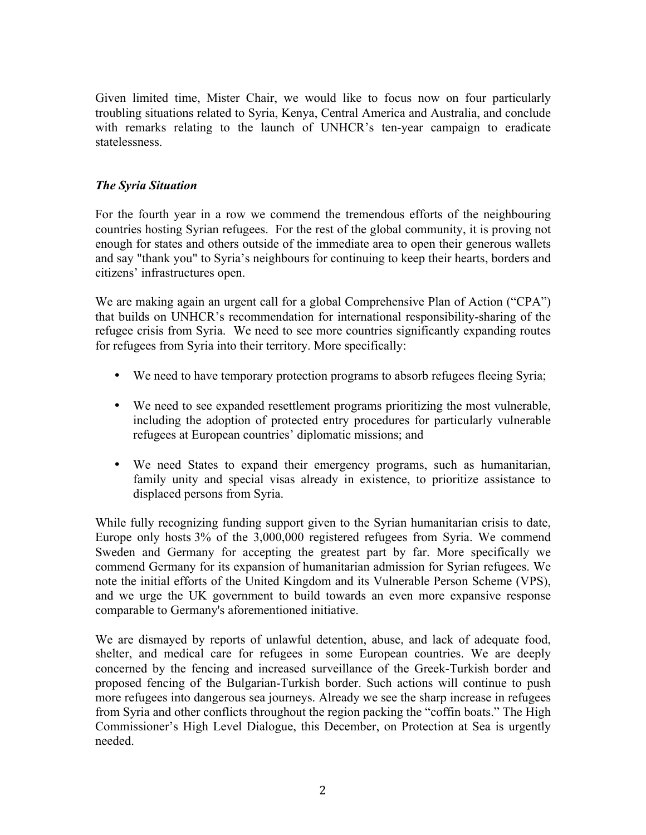Given limited time, Mister Chair, we would like to focus now on four particularly troubling situations related to Syria, Kenya, Central America and Australia, and conclude with remarks relating to the launch of UNHCR's ten-year campaign to eradicate statelessness.

## *The Syria Situation*

For the fourth year in a row we commend the tremendous efforts of the neighbouring countries hosting Syrian refugees. For the rest of the global community, it is proving not enough for states and others outside of the immediate area to open their generous wallets and say "thank you" to Syria's neighbours for continuing to keep their hearts, borders and citizens' infrastructures open.

We are making again an urgent call for a global Comprehensive Plan of Action ("CPA") that builds on UNHCR's recommendation for international responsibility-sharing of the refugee crisis from Syria. We need to see more countries significantly expanding routes for refugees from Syria into their territory. More specifically:

- We need to have temporary protection programs to absorb refugees fleeing Syria;
- We need to see expanded resettlement programs prioritizing the most vulnerable, including the adoption of protected entry procedures for particularly vulnerable refugees at European countries' diplomatic missions; and
- We need States to expand their emergency programs, such as humanitarian, family unity and special visas already in existence, to prioritize assistance to displaced persons from Syria.

While fully recognizing funding support given to the Syrian humanitarian crisis to date, Europe only hosts 3% of the 3,000,000 registered refugees from Syria. We commend Sweden and Germany for accepting the greatest part by far. More specifically we commend Germany for its expansion of humanitarian admission for Syrian refugees. We note the initial efforts of the United Kingdom and its Vulnerable Person Scheme (VPS), and we urge the UK government to build towards an even more expansive response comparable to Germany's aforementioned initiative.

We are dismayed by reports of unlawful detention, abuse, and lack of adequate food, shelter, and medical care for refugees in some European countries. We are deeply concerned by the fencing and increased surveillance of the Greek-Turkish border and proposed fencing of the Bulgarian-Turkish border. Such actions will continue to push more refugees into dangerous sea journeys. Already we see the sharp increase in refugees from Syria and other conflicts throughout the region packing the "coffin boats." The High Commissioner's High Level Dialogue, this December, on Protection at Sea is urgently needed.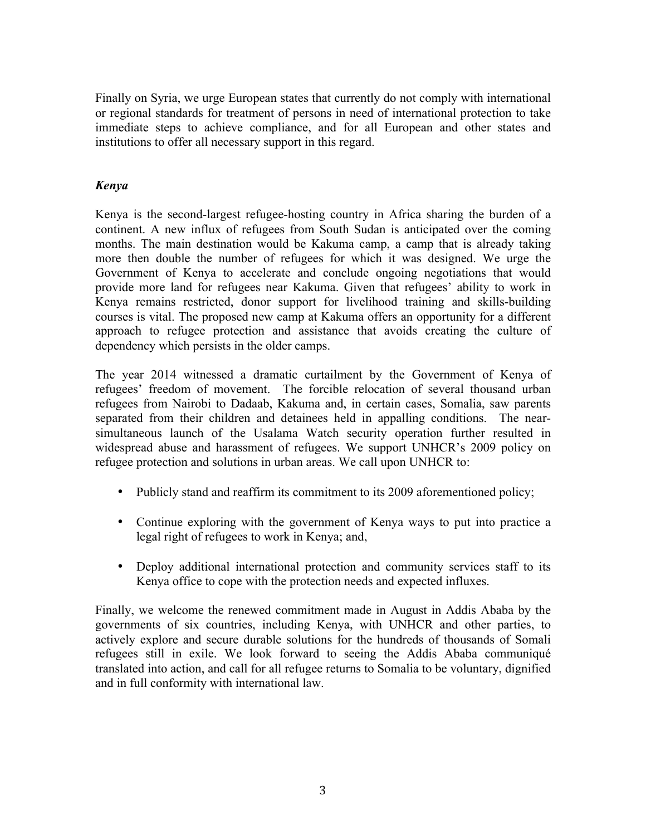Finally on Syria, we urge European states that currently do not comply with international or regional standards for treatment of persons in need of international protection to take immediate steps to achieve compliance, and for all European and other states and institutions to offer all necessary support in this regard.

# *Kenya*

Kenya is the second-largest refugee-hosting country in Africa sharing the burden of a continent. A new influx of refugees from South Sudan is anticipated over the coming months. The main destination would be Kakuma camp, a camp that is already taking more then double the number of refugees for which it was designed. We urge the Government of Kenya to accelerate and conclude ongoing negotiations that would provide more land for refugees near Kakuma. Given that refugees' ability to work in Kenya remains restricted, donor support for livelihood training and skills-building courses is vital. The proposed new camp at Kakuma offers an opportunity for a different approach to refugee protection and assistance that avoids creating the culture of dependency which persists in the older camps.

The year 2014 witnessed a dramatic curtailment by the Government of Kenya of refugees' freedom of movement. The forcible relocation of several thousand urban refugees from Nairobi to Dadaab, Kakuma and, in certain cases, Somalia, saw parents separated from their children and detainees held in appalling conditions. The nearsimultaneous launch of the Usalama Watch security operation further resulted in widespread abuse and harassment of refugees. We support UNHCR's 2009 policy on refugee protection and solutions in urban areas. We call upon UNHCR to:

- Publicly stand and reaffirm its commitment to its 2009 aforementioned policy;
- Continue exploring with the government of Kenya ways to put into practice a legal right of refugees to work in Kenya; and,
- Deploy additional international protection and community services staff to its Kenya office to cope with the protection needs and expected influxes.

Finally, we welcome the renewed commitment made in August in Addis Ababa by the governments of six countries, including Kenya, with UNHCR and other parties, to actively explore and secure durable solutions for the hundreds of thousands of Somali refugees still in exile. We look forward to seeing the Addis Ababa communiqué translated into action, and call for all refugee returns to Somalia to be voluntary, dignified and in full conformity with international law.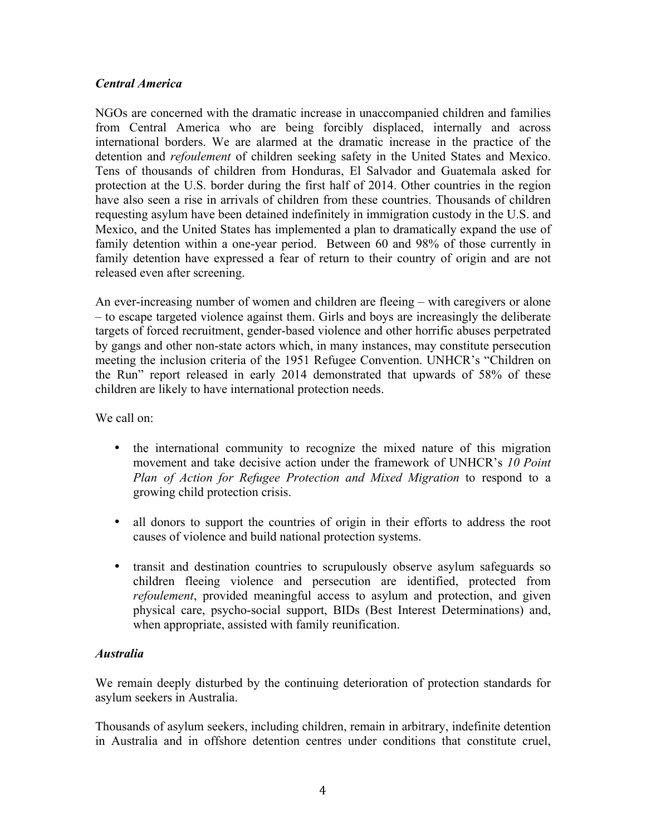### *Central America*

NGOs are concerned with the dramatic increase in unaccompanied children and families from Central America who are being forcibly displaced, internally and across international borders. We are alarmed at the dramatic increase in the practice of the detention and *refoulement* of children seeking safety in the United States and Mexico. Tens of thousands of children from Honduras, El Salvador and Guatemala asked for protection at the U.S. border during the first half of 2014. Other countries in the region have also seen a rise in arrivals of children from these countries. Thousands of children requesting asylum have been detained indefinitely in immigration custody in the U.S. and Mexico, and the United States has implemented a plan to dramatically expand the use of family detention within a one-year period. Between 60 and 98% of those currently in family detention have expressed a fear of return to their country of origin and are not released even after screening.

An ever-increasing number of women and children are fleeing – with caregivers or alone – to escape targeted violence against them. Girls and boys are increasingly the deliberate targets of forced recruitment, gender-based violence and other horrific abuses perpetrated by gangs and other non-state actors which, in many instances, may constitute persecution meeting the inclusion criteria of the 1951 Refugee Convention. UNHCR's "Children on the Run" report released in early 2014 demonstrated that upwards of 58% of these children are likely to have international protection needs.

We call on:

- the international community to recognize the mixed nature of this migration movement and take decisive action under the framework of UNHCR's *10 Point Plan of Action for Refugee Protection and Mixed Migration* to respond to a growing child protection crisis.
- all donors to support the countries of origin in their efforts to address the root causes of violence and build national protection systems.
- transit and destination countries to scrupulously observe asylum safeguards so children fleeing violence and persecution are identified, protected from *refoulement*, provided meaningful access to asylum and protection, and given physical care, psycho-social support, BIDs (Best Interest Determinations) and, when appropriate, assisted with family reunification.

### *Australia*

We remain deeply disturbed by the continuing deterioration of protection standards for asylum seekers in Australia.

Thousands of asylum seekers, including children, remain in arbitrary, indefinite detention in Australia and in offshore detention centres under conditions that constitute cruel,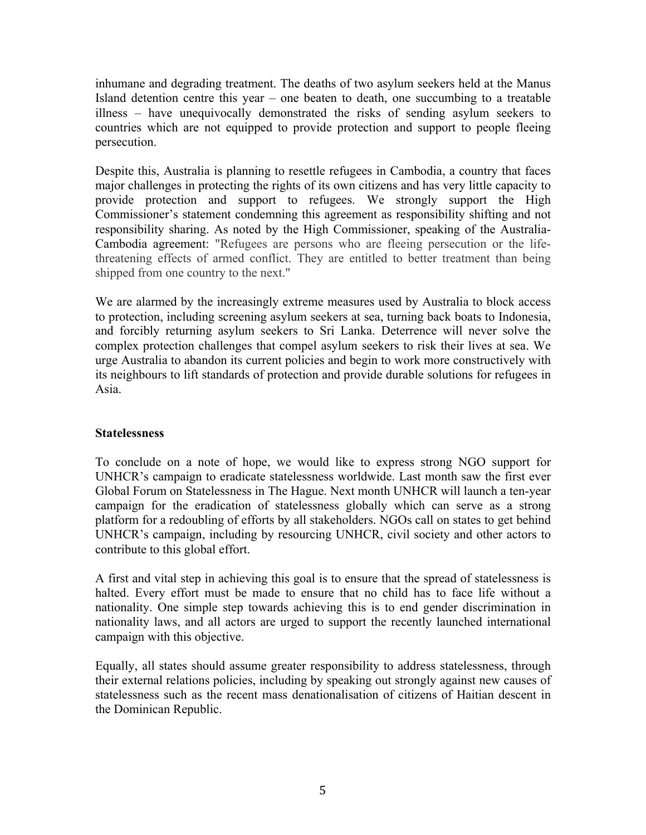inhumane and degrading treatment. The deaths of two asylum seekers held at the Manus Island detention centre this year – one beaten to death, one succumbing to a treatable illness – have unequivocally demonstrated the risks of sending asylum seekers to countries which are not equipped to provide protection and support to people fleeing persecution.

Despite this, Australia is planning to resettle refugees in Cambodia, a country that faces major challenges in protecting the rights of its own citizens and has very little capacity to provide protection and support to refugees. We strongly support the High Commissioner's statement condemning this agreement as responsibility shifting and not responsibility sharing. As noted by the High Commissioner, speaking of the Australia-Cambodia agreement: "Refugees are persons who are fleeing persecution or the lifethreatening effects of armed conflict. They are entitled to better treatment than being shipped from one country to the next."

We are alarmed by the increasingly extreme measures used by Australia to block access to protection, including screening asylum seekers at sea, turning back boats to Indonesia, and forcibly returning asylum seekers to Sri Lanka. Deterrence will never solve the complex protection challenges that compel asylum seekers to risk their lives at sea. We urge Australia to abandon its current policies and begin to work more constructively with its neighbours to lift standards of protection and provide durable solutions for refugees in Asia.

### **Statelessness**

To conclude on a note of hope, we would like to express strong NGO support for UNHCR's campaign to eradicate statelessness worldwide. Last month saw the first ever Global Forum on Statelessness in The Hague. Next month UNHCR will launch a ten-year campaign for the eradication of statelessness globally which can serve as a strong platform for a redoubling of efforts by all stakeholders. NGOs call on states to get behind UNHCR's campaign, including by resourcing UNHCR, civil society and other actors to contribute to this global effort.

A first and vital step in achieving this goal is to ensure that the spread of statelessness is halted. Every effort must be made to ensure that no child has to face life without a nationality. One simple step towards achieving this is to end gender discrimination in nationality laws, and all actors are urged to support the recently launched international campaign with this objective.

Equally, all states should assume greater responsibility to address statelessness, through their external relations policies, including by speaking out strongly against new causes of statelessness such as the recent mass denationalisation of citizens of Haitian descent in the Dominican Republic.